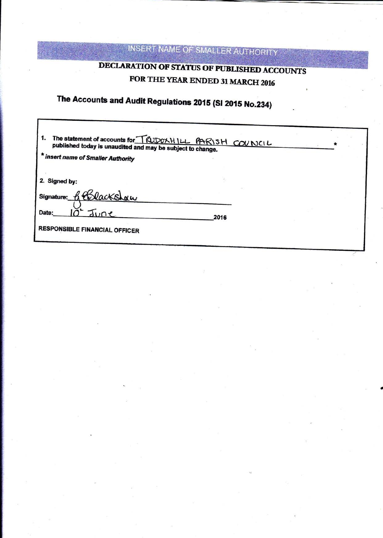## INSERT NAME OF SMALLER AUTHORITY

### DECLARATION OF STATUS OF PUBLISHED ACCOUNTS FOR THE YEAR ENDED 31 MARCH 2016

## The Accounts and Audit Regulations 2015 (SI 2015 No.234)

| The statement of accounts for TQUDCXHILL PARISH COUNCIL<br>published today is unaudited and may be subject to change.<br>* insert name of Smaller Authority |  |  |
|-------------------------------------------------------------------------------------------------------------------------------------------------------------|--|--|
| 2. Signed by:                                                                                                                                               |  |  |
| Blackshow<br>Signature:                                                                                                                                     |  |  |
| Date:<br>2016                                                                                                                                               |  |  |
| <b>RESPONSIBLE FINANCIAL OFFICER</b>                                                                                                                        |  |  |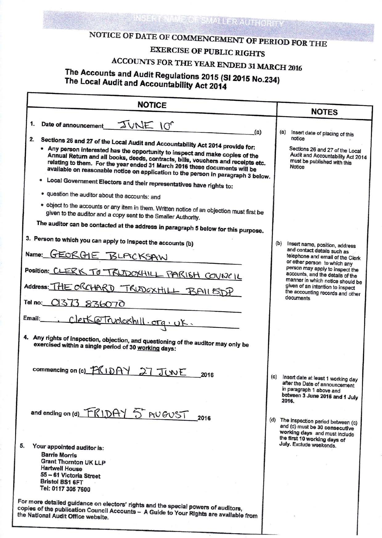# NOTICE OF DATE OF COMMENCEMENT OF PERIOD FOR THE

Misselandes

## **EXERCISE OF PUBLIC RIGHTS**

# ACCOUNTS FOR THE YEAR ENDED 31 MARCH 2016

# The Accounts and Audit Regulations 2015 (SI 2015 No.234)<br>The Local Audit and Accountability Act 2014

|                                                                                                                                                                                                                                                                                                                                      |     | <b>NOTES</b>                                                                                                                         |
|--------------------------------------------------------------------------------------------------------------------------------------------------------------------------------------------------------------------------------------------------------------------------------------------------------------------------------------|-----|--------------------------------------------------------------------------------------------------------------------------------------|
| 1.<br>Date of announcement<br>JUNE 10°<br>(a)                                                                                                                                                                                                                                                                                        | (a) |                                                                                                                                      |
| 2.<br>Sections 26 and 27 of the Local Audit and Accountability Act 2014 provide for:                                                                                                                                                                                                                                                 |     | Insert date of placing of this<br>notice                                                                                             |
| • Any person interested has the opportunity to inspect and make copies of the<br>Annual Return and all books, deeds, contracts, bills, vouchers and receipts etc.<br>relating to them. For the year ended 31 March 2016 these documents will be<br>available on reasonable notice on application to the person in paragraph 3 below. |     | Sections 26 and 27 of the Local<br>Audit and Accountability Act 2014<br>must be published with this<br><b>Notice</b>                 |
| . Local Government Electors and their representatives have rights to:                                                                                                                                                                                                                                                                |     |                                                                                                                                      |
| . question the auditor about the accounts: and                                                                                                                                                                                                                                                                                       |     |                                                                                                                                      |
| . object to the accounts or any item in them. Written notice of an objection must first be<br>given to the auditor and a copy sent to the Smaller Authority.                                                                                                                                                                         |     |                                                                                                                                      |
| The auditor can be contacted at the address in paragraph 5 below for this purpose.                                                                                                                                                                                                                                                   |     |                                                                                                                                      |
| 3. Person to which you can apply to inspect the accounts (b)                                                                                                                                                                                                                                                                         | (b) | Insert name, position, address                                                                                                       |
| Name: GEORGIE BLACKSAW                                                                                                                                                                                                                                                                                                               |     | and contact details such as<br>telephone and email of the Clerk<br>or other person to which any                                      |
| Position: CLERK TO TRUDOXHILL PARISH COUNCIL                                                                                                                                                                                                                                                                                         |     | person may apply to inspect the<br>accounts, and the details of the<br>manner in which notice should be                              |
| Address: THE ORCHARD TRUDOXHILL BAIL 5DP                                                                                                                                                                                                                                                                                             |     | given of an intention to inspect<br>the accounting records and other                                                                 |
| Tel no: 0373 836070                                                                                                                                                                                                                                                                                                                  |     | documents                                                                                                                            |
| Email: ClerK@Trucleshill.org.uk.                                                                                                                                                                                                                                                                                                     |     |                                                                                                                                      |
| 4. Any rights of inspection, objection, and questioning of the auditor may only be<br>exercised within a single period of 30 working days:                                                                                                                                                                                           |     |                                                                                                                                      |
| commencing on (c) FRIDAY 27 JUNE<br>2016                                                                                                                                                                                                                                                                                             | (c) | Insert date at least 1 working day                                                                                                   |
|                                                                                                                                                                                                                                                                                                                                      |     | after the Date of announcement<br>in paragraph 1 above and<br>between 3 June 2016 and 1 July<br>2016.                                |
| and ending on (d) FRIDAY 5 AUGUST<br>2016                                                                                                                                                                                                                                                                                            | (d) |                                                                                                                                      |
|                                                                                                                                                                                                                                                                                                                                      |     | The inspection period between (c)<br>and (d) must be 30 consecutive<br>working days and must include<br>the first 10 working days of |
| Your appointed auditor is:<br><b>Barrie Morris</b><br><b>Grant Thornton UK LLP</b><br><b>Hartwell House</b>                                                                                                                                                                                                                          |     | July. Exclude weekends.                                                                                                              |
| 55 - 61 Victoria Street<br>Bristol BS1 6FT<br>Tel: 0117 305 7600                                                                                                                                                                                                                                                                     |     |                                                                                                                                      |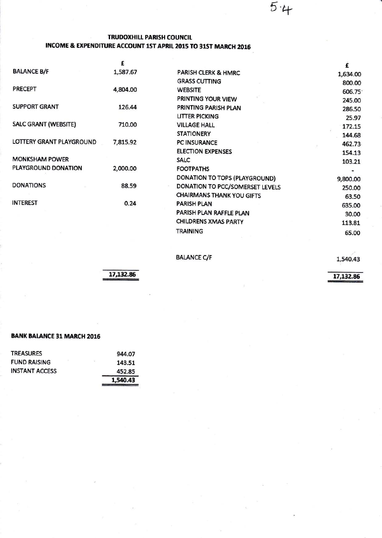### TRUDOXHILL PARISH COUNCIL INCOME & EXPENDITURE ACCOUNT 1STAPRIL 2015 TO 31ST MARCH 2016

|                             | £        |                                  | £        |
|-----------------------------|----------|----------------------------------|----------|
| <b>BALANCE B/F</b>          | 1,587.67 | PARISH CLERK & HMRC              | 1,634.00 |
|                             |          | <b>GRASS CUTTING</b>             | 800.00   |
| <b>PRECEPT</b>              | 4,804.00 | <b>WEBSITE</b>                   | 606.75   |
|                             |          | PRINTING YOUR VIEW               | 245.00   |
| <b>SUPPORT GRANT</b>        | 126.44   | PRINTING PARISH PLAN             | 286.50   |
|                             |          | <b>LITTER PICKING</b>            | 25.97    |
| <b>SALC GRANT (WEBSITE)</b> | 710.00   | <b>VILLAGE HALL</b>              | 172.15   |
|                             |          | <b>STATIONERY</b>                | 144.68   |
| LOTTERY GRANT PLAYGROUND    | 7,815.92 | <b>PC INSURANCE</b>              | 462.73   |
|                             |          | <b>ELECTION EXPENSES</b>         | 154.13   |
| <b>MONKSHAM POWER</b>       |          | <b>SALC</b>                      | 103.21   |
| PLAYGROUND DONATION         | 2,000.00 | <b>FOOTPATHS</b>                 |          |
|                             |          | DONATION TO TOPS (PLAYGROUND)    | 9,800.00 |
| <b>DONATIONS</b>            | 88.59    | DONATION TO PCC/SOMERSET LEVELS  | 250.00   |
|                             |          | <b>CHAIRMANS THANK YOU GIFTS</b> | 63.50    |
| <b>INTEREST</b>             | 0.24     | <b>PARISH PLAN</b>               | 635.00   |
|                             |          | PARISH PLAN RAFFLE PLAN          | 30.00    |
|                             |          | <b>CHILDRENS XMAS PARTY</b>      | 113.81   |
|                             |          | <b>TRAINING</b>                  | 65.00    |

### **BALANCE C/F**

L,540.43

 $5·4$ 

17,132.86

17,132.86

### BANK BALANCE 31 MARCH 2016

|                       | 1,540.43     |
|-----------------------|--------------|
| <b>INSTANT ACCESS</b> | 452.85       |
| <b>FUND RAISING</b>   | 95<br>143.51 |
| <b>TREASURES</b>      | 944.07       |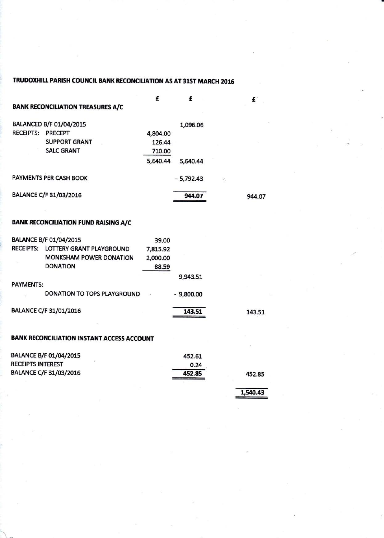### TRUDOXHILL PARISH COUNCIL BANK RECONCILIATION AS AT 31ST MARCH 2016

|                          |                                             | £        | £           |    | £      |
|--------------------------|---------------------------------------------|----------|-------------|----|--------|
|                          | <b>BANK RECONCILIATION TREASURES A/C</b>    |          |             |    |        |
|                          | BALANCED B/F 01/04/2015                     |          | 1,096.06    |    |        |
| <b>RECEIPTS: PRECEPT</b> |                                             | 4,804.00 |             |    |        |
|                          | <b>SUPPORT GRANT</b>                        | 126.44   |             |    |        |
|                          | <b>SALC GRANT</b>                           | 710.00   |             |    |        |
|                          |                                             | 5,640.44 | 5,640.44    |    |        |
|                          | PAYMENTS PER CASH BOOK                      |          | $-5,792.43$ | 2, |        |
|                          | BALANCE C/F 31/03/2016                      |          | 944.07      |    | 944.07 |
|                          | <b>BANK RECONCILIATION FUND RAISING A/C</b> |          |             |    |        |
|                          | <b>BALANCE B/F 01/04/2015</b>               | 39.00    |             |    |        |
|                          | RECEIPTS: LOTTERY GRANT PLAYGROUND          | 7,815.92 |             |    |        |
|                          | <b>MONKSHAM POWER DONATION</b>              | 2,000.00 |             |    |        |
|                          | <b>DONATION</b>                             | 88.59    |             |    |        |
|                          |                                             |          | 9,943.51    |    |        |
| <b>PAYMENTS:</b>         |                                             |          |             |    |        |
|                          | <b>DONATION TO TOPS PLAYGROUND</b>          |          | $-9,800.00$ |    |        |
|                          | BALANCE C/F 31/01/2016                      |          | 143.51      |    | 143.51 |
|                          |                                             |          |             |    |        |

### **BANK RECONCILIATION INSTANT ACCESS ACCOUNT**

| <b>BALANCE B/F 01/04/2015</b> | 452.61 |        |
|-------------------------------|--------|--------|
| <b>RECEIPTS INTEREST</b>      | 0.24   |        |
| BALANCE C/F 31/03/2016        | 452.85 | 452.85 |
|                               |        |        |

1,540.43